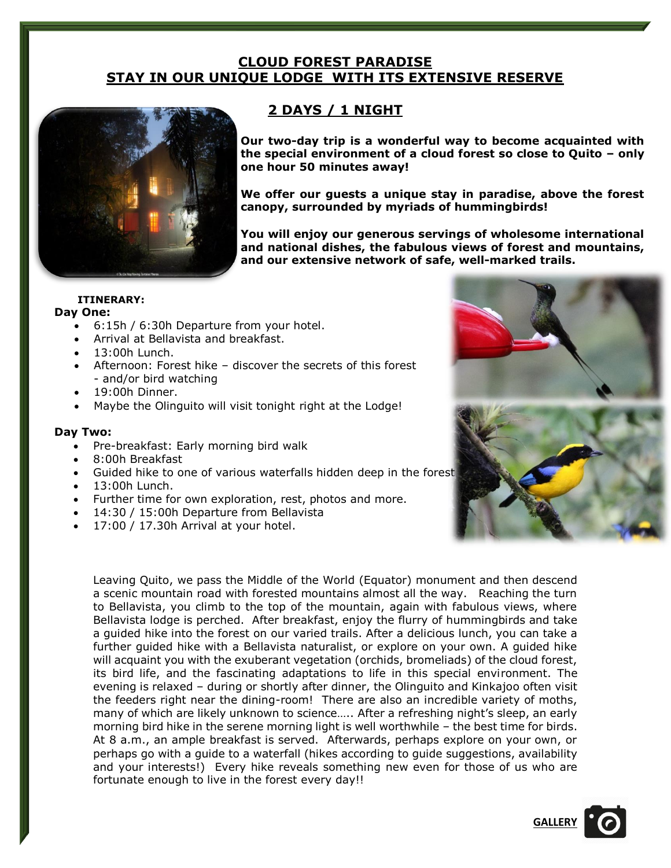## **CLOUD FOREST PARADISE STAY IN OUR UNIQUE LODGE WITH ITS EXTENSIVE RESERVE**



# **2 DAYS / 1 NIGHT**

**Our two-day trip is a wonderful way to become acquainted with the special environment of a cloud forest so close to Quito – only one hour 50 minutes away!** 

**We offer our guests a unique stay in paradise, above the forest canopy, surrounded by myriads of hummingbirds!** 

**You will enjoy our generous servings of wholesome international and national dishes, the fabulous views of forest and mountains, and our extensive network of safe, well-marked trails.**

#### **ITINERARY:**

#### **Day One:**

- 6:15h / 6:30h Departure from your hotel.
- Arrival at Bellavista and breakfast.
- 13:00h Lunch.
- Afternoon: Forest hike discover the secrets of this forest - and/or bird watching
- 19:00h Dinner.
- Maybe the Olinguito will visit tonight right at the Lodge!

### **Day Two:**

- Pre-breakfast: Early morning bird walk
- 8:00h Breakfast
- Guided hike to one of various waterfalls hidden deep in the forest
- 13:00h Lunch.
- Further time for own exploration, rest, photos and more.
- 14:30 / 15:00h Departure from Bellavista
- 17:00 / 17.30h Arrival at your hotel.

Leaving Quito, we pass the Middle of the World (Equator) monument and then descend a scenic mountain road with forested mountains almost all the way. Reaching the turn to Bellavista, you climb to the top of the mountain, again with fabulous views, where Bellavista lodge is perched. After breakfast, enjoy the flurry of hummingbirds and take a guided hike into the forest on our varied trails. After a delicious lunch, you can take a further guided hike with a Bellavista naturalist, or explore on your own. A guided hike will acquaint you with the exuberant vegetation (orchids, bromeliads) of the cloud forest, its bird life, and the fascinating adaptations to life in this special environment. The evening is relaxed – during or shortly after dinner, the Olinguito and Kinkajoo often visit the feeders right near the dining-room! There are also an incredible variety of moths, many of which are likely unknown to science….. After a refreshing night's sleep, an early morning bird hike in the serene morning light is well worthwhile – the best time for birds. At 8 a.m., an ample breakfast is served. Afterwards, perhaps explore on your own, or perhaps go with a guide to a waterfall (hikes according to guide suggestions, availability and your interests!) Every hike reveals something new even for those of us who are fortunate enough to live in the forest every day!!



**[GALLERY](https://www.bellavistacloudforest.com/gallery)**